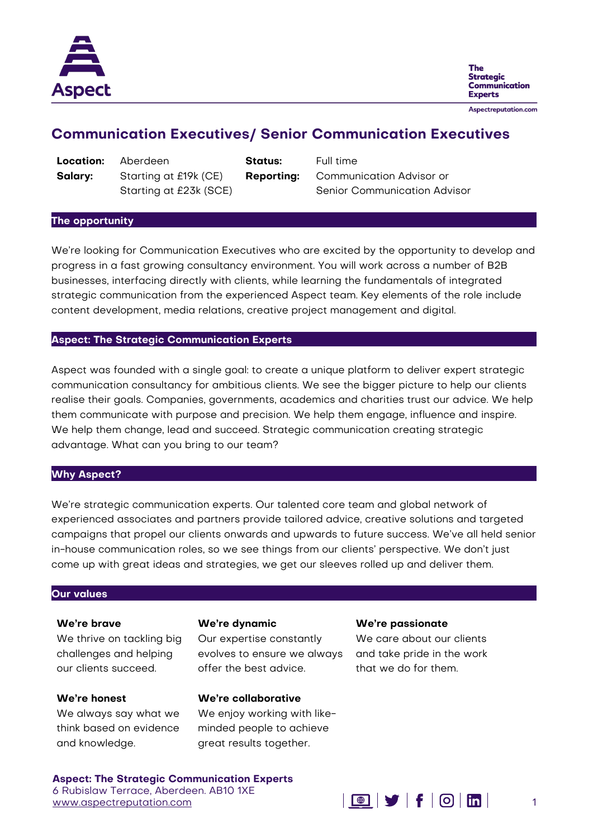

The **Strategic Communication Experts** 

Aspectreputation.com

# **Communication Executives/ Senior Communication Executives**

**Location:** Aberdeen **Status:** Full time **Salary:** Starting at £19k (CE) Starting at £23k (SCE)

**Reporting:** Communication Advisor or Senior Communication Advisor

#### **The opportunity**

We're looking for Communication Executives who are excited by the opportunity to develop and progress in a fast growing consultancy environment. You will work across a number of B2B businesses, interfacing directly with clients, while learning the fundamentals of integrated strategic communication from the experienced Aspect team. Key elements of the role include content development, media relations, creative project management and digital.

## **Aspect: The Strategic Communication Experts**

Aspect was founded with a single goal: to create a unique platform to deliver expert strategic communication consultancy for ambitious clients. We see the bigger picture to help our clients realise their goals. Companies, governments, academics and charities trust our advice. We help them communicate with purpose and precision. We help them engage, influence and inspire. We help them change, lead and succeed. Strategic communication creating strategic advantage. What can you bring to our team?

## **Why Aspect?**

We're strategic communication experts. Our talented core team and global network of experienced associates and partners provide tailored advice, creative solutions and targeted campaigns that propel our clients onwards and upwards to future success. We've all held senior in-house communication roles, so we see things from our clients' perspective. We don't just come up with great ideas and strategies, we get our sleeves rolled up and deliver them.

## **Our values**

#### **We're brave**

We thrive on tackling big challenges and helping our clients succeed.

## **We're honest**

We always say what we think based on evidence and knowledge.

#### **We're dynamic**

Our expertise constantly evolves to ensure we always offer the best advice.

## **We're collaborative**

Founder and Managing Director **07785 467530** We enjoy working with likeminded people to achieve great results together.

#### **We're passionate**

We care about our clients and take pride in the work that we do for them.

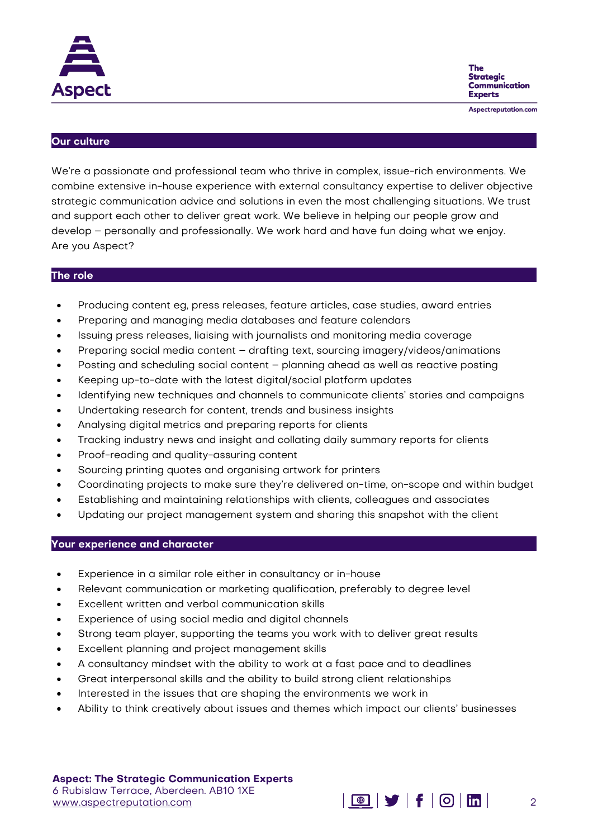



Aspectreputation.com

## **Our culture**

We're a passionate and professional team who thrive in complex, issue-rich environments. We combine extensive in-house experience with external consultancy expertise to deliver objective strategic communication advice and solutions in even the most challenging situations. We trust and support each other to deliver great work. We believe in helping our people grow and develop – personally and professionally. We work hard and have fun doing what we enjoy. Are you Aspect?

#### **The role**

- Producing content eg, press releases, feature articles, case studies, award entries
- Preparing and managing media databases and feature calendars
- Issuing press releases, liaising with journalists and monitoring media coverage
- Preparing social media content drafting text, sourcing imagery/videos/animations
- Posting and scheduling social content planning ahead as well as reactive posting
- Keeping up-to-date with the latest digital/social platform updates
- Identifying new techniques and channels to communicate clients' stories and campaigns
- Undertaking research for content, trends and business insights
- Analysing digital metrics and preparing reports for clients
- Tracking industry news and insight and collating daily summary reports for clients
- Proof-reading and quality-assuring content
- Sourcing printing quotes and organising artwork for printers
- Coordinating projects to make sure they're delivered on-time, on-scope and within budget
- Establishing and maintaining relationships with clients, colleagues and associates
- Updating our project management system and sharing this snapshot with the client

## **Your experience and character**

- Experience in a similar role either in consultancy or in-house
- Relevant communication or marketing qualification, preferably to degree level
- Excellent written and verbal communication skills
- Experience of using social media and digital channels
- Strong team player, supporting the teams you work with to deliver great results
- Excellent planning and project management skills
- A consultancy mindset with the ability to work at a fast pace and to deadlines
- Great interpersonal skills and the ability to build strong client relationships
- **•** Interested in the issues that are shaping the environments we work in
- Ability to think creatively about issues and themes which impact our clients' businesses